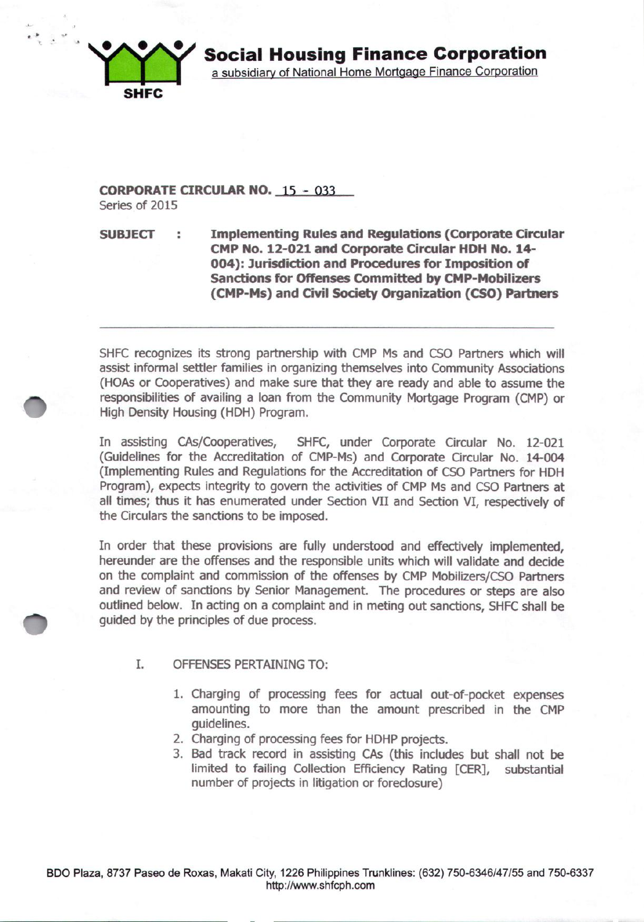

## **CORPORATE CIRCULAR NO.** 15 - 033 Series of 2015

# **SUBJECT Implementing Rules and Regulations (Corporate Circular CMP No. 12-021 and Corporate Circular HDH No. 14- 004): Jurisdiction and Procedures for Imposition of Sanctions for Offenses Committed by CMP-Mobilizers (CMP-Ms) and Civil Society Organization (CSO) Partners**

SHFC recognizes its strong partnership with CMP Ms and CSO Partners which will assist informal settler families in organizing themselves into Community Associations (HOAs or Cooperatives) and make sure that they are ready and able to assume the responsibilities of availing a loan from the Community Mortgage Program (CMP) or High Density Housing (HDH) Program.

In assisting CAs/Cooperatives, SHFC, under Corporate Circular No. 12-021 (Guidelines for the Accreditation of CMP-Ms) and Corporate Circular No. 14-004 (Implementing Rules and Regulations for the Accreditation of CSO Partners for HDH Program), expects integrity to govern the activities of CMP Ms and CSO Partners at all times; thus it has enumerated under Section VII and Section VI, respectively of the Circulars the sanctions to be imposed.

In order that these provisions are fully understood and effectively implemented, hereunder are the offenses and the responsible units which will validate and decide on the complaint and commission of the offenses by CMP Mobilizers/CSO Partners and review of sanctions by Senior Management. The procedures or steps are also outlined below. In acting on a complaint and in meting out sanctions, SHFC shall be guided by the principles of due process.

## I. OFFENSES PERTAINING TO:

- 1. Charging of processing fees for actual out-of-pocket expenses amounting to more than the amount prescribed in the CMP guidelines.
- 2. Charging of processing fees for HDHP projects.
- 3. Bad track record in assistinq CAs (this includes but shall not be limited to failing Collection Efficiency Rating [CER], substantial number of projects in litigation or foreclosure)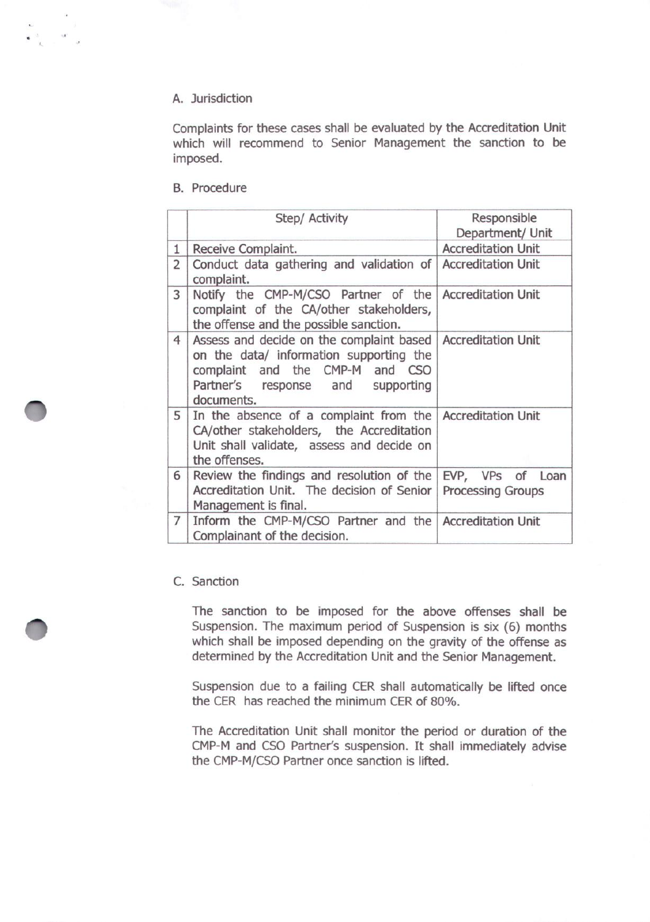## A. Jurisdiction

Complaints for these cases shall be evaluated by the Accreditation Unit which will recommend to Senior Management the sanction to be imposed.

## B. Procedure

|                | Step/ Activity                                                                                                                                                            | Responsible<br>Department/ Unit              |
|----------------|---------------------------------------------------------------------------------------------------------------------------------------------------------------------------|----------------------------------------------|
| $\mathbf{1}$   | Receive Complaint.                                                                                                                                                        | <b>Accreditation Unit</b>                    |
| $\overline{2}$ | Conduct data gathering and validation of Accreditation Unit<br>complaint.                                                                                                 |                                              |
| 3              | Notify the CMP-M/CSO Partner of the Accreditation Unit<br>complaint of the CA/other stakeholders,<br>the offense and the possible sanction.                               |                                              |
| $\overline{4}$ | Assess and decide on the complaint based<br>on the data/ information supporting the<br>complaint and the CMP-M and CSO<br>Partner's response and supporting<br>documents. | <b>Accreditation Unit</b>                    |
| 5              | In the absence of a complaint from the Accreditation Unit<br>CA/other stakeholders, the Accreditation<br>Unit shall validate, assess and decide on<br>the offenses.       |                                              |
| 6              | Review the findings and resolution of the<br>Accreditation Unit. The decision of Senior<br>Management is final.                                                           | EVP, VPs of Loan<br><b>Processing Groups</b> |
| $\overline{7}$ | Inform the CMP-M/CSO Partner and the Accreditation Unit<br>Complainant of the decision.                                                                                   |                                              |

# C. Sanction

The sanction to be imposed for the above offenses shall be Suspension. The maximum period of Suspension is six (6) months which shall be imposed depending on the gravity of the offense as determined by the Accreditation Unit and the Senior Management.

Suspension due to a failing CER shall automatically be lifted once the CER has reached the minimum CER of 80%.

The Accreditation Unit shall monitor the period or duration of the CMP-M and CSO Partner's suspension. It shall immediately advise the CMP-M/CSO Partner once sanction is lifted.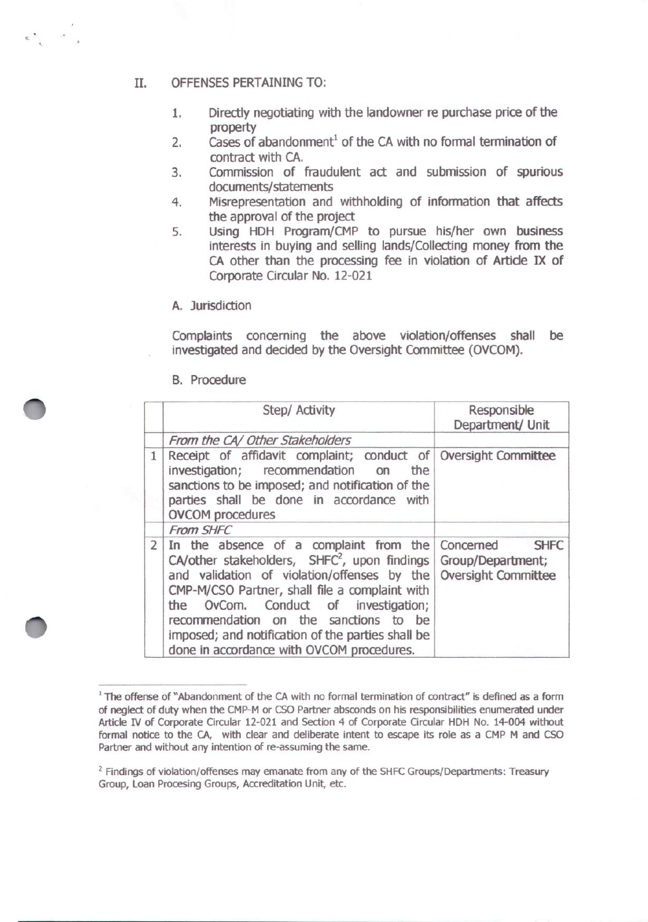#### II. OFFENSES PERTAINING TO:

 $\epsilon_{\rm eff}$  ,  $\epsilon_{\rm eff}$ 

- 1. Directly negotiating with the landowner re purchase price of the property
- 2. Cases of abandonment<sup>1</sup> of the CA with no formal termination of contract with CA.
- 3. Commission of fraudulent act and submission of spurious documents/statements
- 4. Misrepresentation and withholding of information that affects the approval of the project
- 5. Using HDH Program/CMP to pursue his/her own business interests in buying and selling lands/Collecting money from the CA other than the processing fee in violation of Article IX of Corporate Circular No. 12-021
- A. Jurisdiction

Complaints concerning the above violation/offenses shall be investigated and decided by the Oversight Committee (OVCOM).

B. Procedure

|                | Step/ Activity                                                                                                                                                                                                                                                                                                                                                               | Responsible<br>Department/ Unit                                             |
|----------------|------------------------------------------------------------------------------------------------------------------------------------------------------------------------------------------------------------------------------------------------------------------------------------------------------------------------------------------------------------------------------|-----------------------------------------------------------------------------|
|                | From the CA/ Other Stakeholders                                                                                                                                                                                                                                                                                                                                              |                                                                             |
| $\mathbf{1}$   | Receipt of affidavit complaint; conduct of Oversight Committee<br>investigation; recommendation on<br>the<br>sanctions to be imposed; and notification of the<br>parties shall be done in accordance with<br><b>OVCOM</b> procedures                                                                                                                                         |                                                                             |
|                | From SHFC                                                                                                                                                                                                                                                                                                                                                                    |                                                                             |
| $\overline{2}$ | In the absence of a complaint from the<br>CA/other stakeholders, $SHFC2$ , upon findings<br>and validation of violation/offenses by the<br>CMP-M/CSO Partner, shall file a complaint with<br>the OvCom. Conduct of investigation;<br>recommendation on the sanctions to be<br>imposed; and notification of the parties shall be<br>done in accordance with OVCOM procedures. | <b>SHFC</b><br>Concerned<br>Group/Department;<br><b>Oversight Committee</b> |

<sup>&</sup>lt;sup>1</sup> The offense of "Abandonment of the CA with no formal termination of contract" is defined as a form of neglect of duty when the CMP-M or CSO Partner absconds on his responsibilities enumerated under Article *N* of Corporate Circular 12-021 and Section 4 of Corporate Circular HDH No. 14-004 without formal notice to the CA, with clear and deliberate intent to escape its role as a CMP M and CSO Partner and without any intention of re-assuming the same.

 $<sup>2</sup>$  Findings of violation/offenses may emanate from any of the SHFC Groups/Departments: Treasury</sup> Group, Loan Procesing Groups, Accreditation Unit, etc.